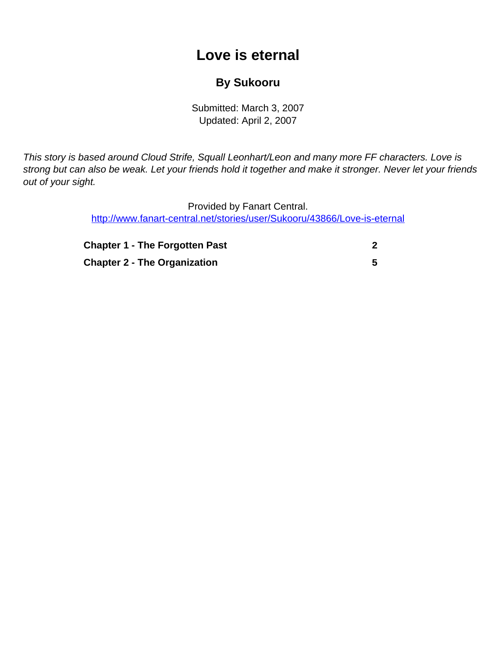## **Love is eternal**

## **By Sukooru**

Submitted: March 3, 2007 Updated: April 2, 2007

<span id="page-0-0"></span>This story is based around Cloud Strife, Squall Leonhart/Leon and many more FF characters. Love is strong but can also be weak. Let your friends hold it together and make it stronger. Never let your friends out of your sight.

> Provided by Fanart Central. [http://www.fanart-central.net/stories/user/Sukooru/43866/Love-is-eternal](#page-0-0)

| <b>Chapter 1 - The Forgotten Past</b> |  |
|---------------------------------------|--|
| <b>Chapter 2 - The Organization</b>   |  |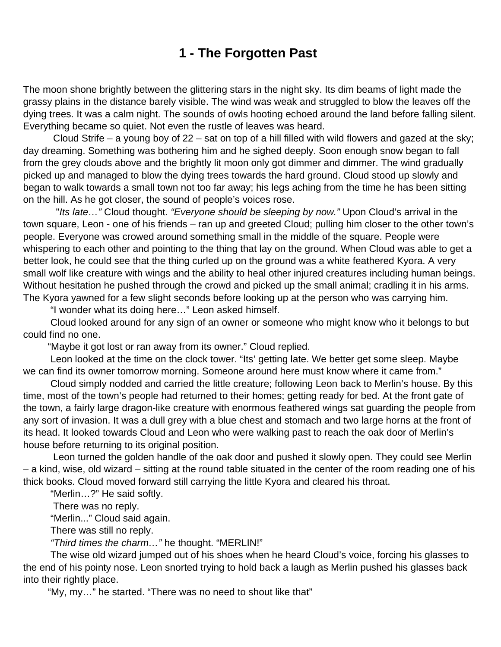## **1 - The Forgotten Past**

<span id="page-1-0"></span>The moon shone brightly between the glittering stars in the night sky. Its dim beams of light made the grassy plains in the distance barely visible. The wind was weak and struggled to blow the leaves off the dying trees. It was a calm night. The sounds of owls hooting echoed around the land before falling silent. Everything became so quiet. Not even the rustle of leaves was heard.

 Cloud Strife – a young boy of 22 – sat on top of a hill filled with wild flowers and gazed at the sky; day dreaming. Something was bothering him and he sighed deeply. Soon enough snow began to fall from the grey clouds above and the brightly lit moon only got dimmer and dimmer. The wind gradually picked up and managed to blow the dying trees towards the hard ground. Cloud stood up slowly and began to walk towards a small town not too far away; his legs aching from the time he has been sitting on the hill. As he got closer, the sound of people's voices rose.

"Its late..." Cloud thought. "Everyone should be sleeping by now." Upon Cloud's arrival in the town square, Leon - one of his friends – ran up and greeted Cloud; pulling him closer to the other town's people. Everyone was crowed around something small in the middle of the square. People were whispering to each other and pointing to the thing that lay on the ground. When Cloud was able to get a better look, he could see that the thing curled up on the ground was a white feathered Kyora. A very small wolf like creature with wings and the ability to heal other injured creatures including human beings. Without hesitation he pushed through the crowd and picked up the small animal; cradling it in his arms. The Kyora yawned for a few slight seconds before looking up at the person who was carrying him.

"I wonder what its doing here…" Leon asked himself.

 Cloud looked around for any sign of an owner or someone who might know who it belongs to but could find no one.

"Maybe it got lost or ran away from its owner." Cloud replied.

 Leon looked at the time on the clock tower. "Its' getting late. We better get some sleep. Maybe we can find its owner tomorrow morning. Someone around here must know where it came from."

 Cloud simply nodded and carried the little creature; following Leon back to Merlin's house. By this time, most of the town's people had returned to their homes; getting ready for bed. At the front gate of the town, a fairly large dragon-like creature with enormous feathered wings sat guarding the people from any sort of invasion. It was a dull grey with a blue chest and stomach and two large horns at the front of its head. It looked towards Cloud and Leon who were walking past to reach the oak door of Merlin's house before returning to its original position.

 Leon turned the golden handle of the oak door and pushed it slowly open. They could see Merlin – a kind, wise, old wizard – sitting at the round table situated in the center of the room reading one of his thick books. Cloud moved forward still carrying the little Kyora and cleared his throat.

"Merlin…?" He said softly.

There was no reply.

"Merlin..." Cloud said again.

There was still no reply.

"Third times the charm…" he thought. "MERLIN!"

 The wise old wizard jumped out of his shoes when he heard Cloud's voice, forcing his glasses to the end of his pointy nose. Leon snorted trying to hold back a laugh as Merlin pushed his glasses back into their rightly place.

"My, my…" he started. "There was no need to shout like that"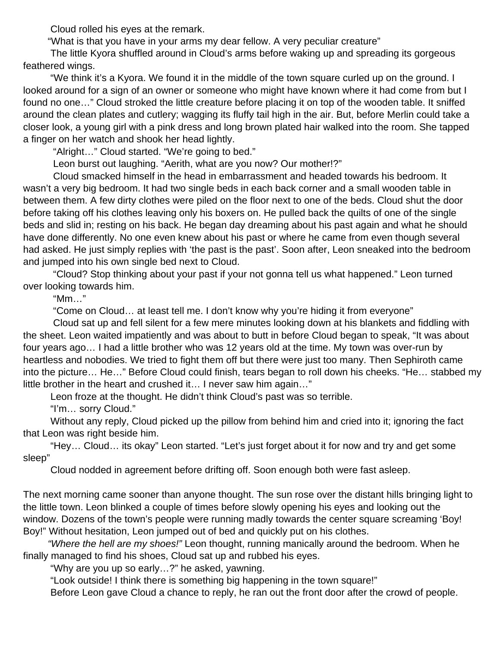Cloud rolled his eyes at the remark.

"What is that you have in your arms my dear fellow. A very peculiar creature"

 The little Kyora shuffled around in Cloud's arms before waking up and spreading its gorgeous feathered wings.

 "We think it's a Kyora. We found it in the middle of the town square curled up on the ground. I looked around for a sign of an owner or someone who might have known where it had come from but I found no one…" Cloud stroked the little creature before placing it on top of the wooden table. It sniffed around the clean plates and cutlery; wagging its fluffy tail high in the air. But, before Merlin could take a closer look, a young girl with a pink dress and long brown plated hair walked into the room. She tapped a finger on her watch and shook her head lightly.

"Alright…" Cloud started. "We're going to bed."

Leon burst out laughing. "Aerith, what are you now? Our mother!?"

 Cloud smacked himself in the head in embarrassment and headed towards his bedroom. It wasn't a very big bedroom. It had two single beds in each back corner and a small wooden table in between them. A few dirty clothes were piled on the floor next to one of the beds. Cloud shut the door before taking off his clothes leaving only his boxers on. He pulled back the quilts of one of the single beds and slid in; resting on his back. He began day dreaming about his past again and what he should have done differently. No one even knew about his past or where he came from even though several had asked. He just simply replies with 'the past is the past'. Soon after, Leon sneaked into the bedroom and jumped into his own single bed next to Cloud.

 "Cloud? Stop thinking about your past if your not gonna tell us what happened." Leon turned over looking towards him.

"Mm…"

"Come on Cloud… at least tell me. I don't know why you're hiding it from everyone"

 Cloud sat up and fell silent for a few mere minutes looking down at his blankets and fiddling with the sheet. Leon waited impatiently and was about to butt in before Cloud began to speak, "It was about four years ago… I had a little brother who was 12 years old at the time. My town was over-run by heartless and nobodies. We tried to fight them off but there were just too many. Then Sephiroth came into the picture… He…" Before Cloud could finish, tears began to roll down his cheeks. "He… stabbed my little brother in the heart and crushed it… I never saw him again…"

Leon froze at the thought. He didn't think Cloud's past was so terrible.

"I'm… sorry Cloud."

 Without any reply, Cloud picked up the pillow from behind him and cried into it; ignoring the fact that Leon was right beside him.

 "Hey… Cloud… its okay" Leon started. "Let's just forget about it for now and try and get some sleep"

Cloud nodded in agreement before drifting off. Soon enough both were fast asleep.

The next morning came sooner than anyone thought. The sun rose over the distant hills bringing light to the little town. Leon blinked a couple of times before slowly opening his eyes and looking out the window. Dozens of the town's people were running madly towards the center square screaming 'Boy! Boy!" Without hesitation, Leon jumped out of bed and quickly put on his clothes.

 "Where the hell are my shoes!" Leon thought, running manically around the bedroom. When he finally managed to find his shoes, Cloud sat up and rubbed his eyes.

"Why are you up so early…?" he asked, yawning.

"Look outside! I think there is something big happening in the town square!"

Before Leon gave Cloud a chance to reply, he ran out the front door after the crowd of people.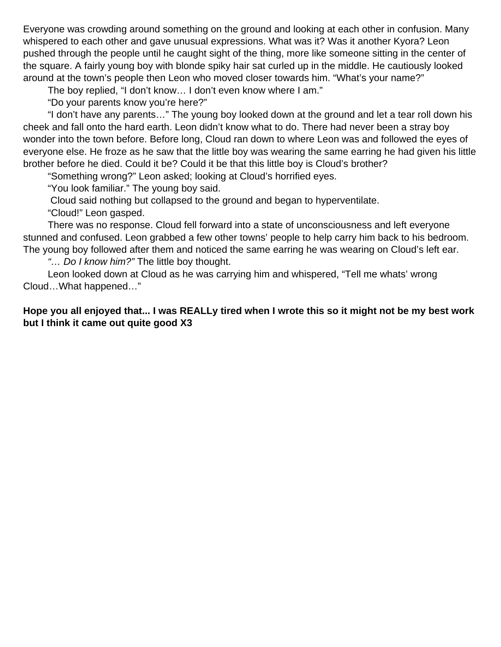Everyone was crowding around something on the ground and looking at each other in confusion. Many whispered to each other and gave unusual expressions. What was it? Was it another Kyora? Leon pushed through the people until he caught sight of the thing, more like someone sitting in the center of the square. A fairly young boy with blonde spiky hair sat curled up in the middle. He cautiously looked around at the town's people then Leon who moved closer towards him. "What's your name?"

The boy replied, "I don't know… I don't even know where I am."

"Do your parents know you're here?"

 "I don't have any parents…" The young boy looked down at the ground and let a tear roll down his cheek and fall onto the hard earth. Leon didn't know what to do. There had never been a stray boy wonder into the town before. Before long, Cloud ran down to where Leon was and followed the eyes of everyone else. He froze as he saw that the little boy was wearing the same earring he had given his little brother before he died. Could it be? Could it be that this little boy is Cloud's brother?

"Something wrong?" Leon asked; looking at Cloud's horrified eyes.

"You look familiar." The young boy said.

Cloud said nothing but collapsed to the ground and began to hyperventilate.

"Cloud!" Leon gasped.

 There was no response. Cloud fell forward into a state of unconsciousness and left everyone stunned and confused. Leon grabbed a few other towns' people to help carry him back to his bedroom. The young boy followed after them and noticed the same earring he was wearing on Cloud's left ear.

"... Do I know him?" The little boy thought.

 Leon looked down at Cloud as he was carrying him and whispered, "Tell me whats' wrong Cloud…What happened…"

**Hope you all enjoyed that... I was REALLy tired when I wrote this so it might not be my best work but I think it came out quite good X3**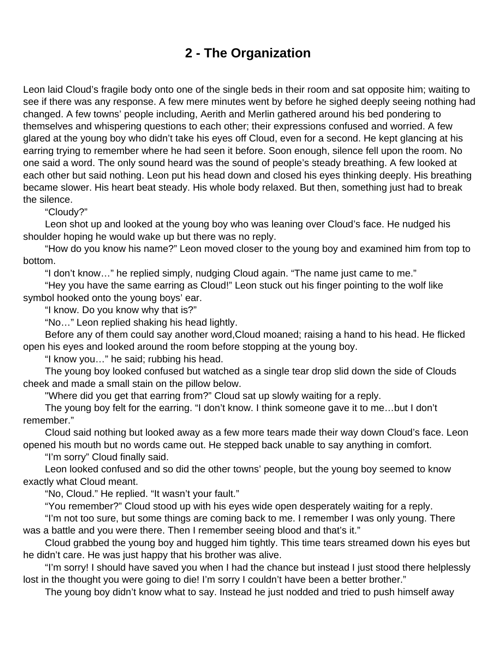## **2 - The Organization**

<span id="page-4-0"></span>Leon laid Cloud's fragile body onto one of the single beds in their room and sat opposite him; waiting to see if there was any response. A few mere minutes went by before he sighed deeply seeing nothing had changed. A few towns' people including, Aerith and Merlin gathered around his bed pondering to themselves and whispering questions to each other; their expressions confused and worried. A few glared at the young boy who didn't take his eyes off Cloud, even for a second. He kept glancing at his earring trying to remember where he had seen it before. Soon enough, silence fell upon the room. No one said a word. The only sound heard was the sound of people's steady breathing. A few looked at each other but said nothing. Leon put his head down and closed his eyes thinking deeply. His breathing became slower. His heart beat steady. His whole body relaxed. But then, something just had to break the silence.

"Cloudy?"

 Leon shot up and looked at the young boy who was leaning over Cloud's face. He nudged his shoulder hoping he would wake up but there was no reply.

 "How do you know his name?" Leon moved closer to the young boy and examined him from top to bottom.

"I don't know…" he replied simply, nudging Cloud again. "The name just came to me."

 "Hey you have the same earring as Cloud!" Leon stuck out his finger pointing to the wolf like symbol hooked onto the young boys' ear.

"I know. Do you know why that is?"

"No…" Leon replied shaking his head lightly.

 Before any of them could say another word,Cloud moaned; raising a hand to his head. He flicked open his eyes and looked around the room before stopping at the young boy.

"I know you…" he said; rubbing his head.

 The young boy looked confused but watched as a single tear drop slid down the side of Clouds cheek and made a small stain on the pillow below.

"Where did you get that earring from?" Cloud sat up slowly waiting for a reply.

 The young boy felt for the earring. "I don't know. I think someone gave it to me…but I don't remember."

 Cloud said nothing but looked away as a few more tears made their way down Cloud's face. Leon opened his mouth but no words came out. He stepped back unable to say anything in comfort.

"I'm sorry" Cloud finally said.

 Leon looked confused and so did the other towns' people, but the young boy seemed to know exactly what Cloud meant.

"No, Cloud." He replied. "It wasn't your fault."

"You remember?" Cloud stood up with his eyes wide open desperately waiting for a reply.

 "I'm not too sure, but some things are coming back to me. I remember I was only young. There was a battle and you were there. Then I remember seeing blood and that's it."

 Cloud grabbed the young boy and hugged him tightly. This time tears streamed down his eyes but he didn't care. He was just happy that his brother was alive.

 "I'm sorry! I should have saved you when I had the chance but instead I just stood there helplessly lost in the thought you were going to die! I'm sorry I couldn't have been a better brother."

The young boy didn't know what to say. Instead he just nodded and tried to push himself away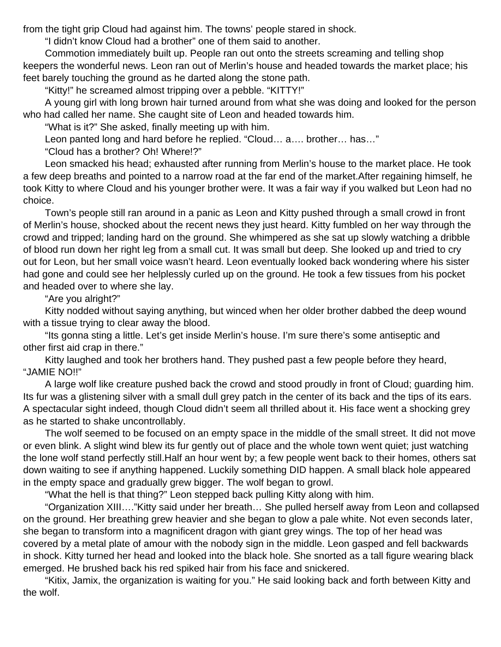from the tight grip Cloud had against him. The towns' people stared in shock.

"I didn't know Cloud had a brother" one of them said to another.

 Commotion immediately built up. People ran out onto the streets screaming and telling shop keepers the wonderful news. Leon ran out of Merlin's house and headed towards the market place; his feet barely touching the ground as he darted along the stone path.

"Kitty!" he screamed almost tripping over a pebble. "KITTY!"

 A young girl with long brown hair turned around from what she was doing and looked for the person who had called her name. She caught site of Leon and headed towards him.

"What is it?" She asked, finally meeting up with him.

Leon panted long and hard before he replied. "Cloud… a…. brother… has…"

"Cloud has a brother? Oh! Where!?"

 Leon smacked his head; exhausted after running from Merlin's house to the market place. He took a few deep breaths and pointed to a narrow road at the far end of the market.After regaining himself, he took Kitty to where Cloud and his younger brother were. It was a fair way if you walked but Leon had no choice.

 Town's people still ran around in a panic as Leon and Kitty pushed through a small crowd in front of Merlin's house, shocked about the recent news they just heard. Kitty fumbled on her way through the crowd and tripped; landing hard on the ground. She whimpered as she sat up slowly watching a dribble of blood run down her right leg from a small cut. It was small but deep. She looked up and tried to cry out for Leon, but her small voice wasn't heard. Leon eventually looked back wondering where his sister had gone and could see her helplessly curled up on the ground. He took a few tissues from his pocket and headed over to where she lay.

"Are you alright?"

 Kitty nodded without saying anything, but winced when her older brother dabbed the deep wound with a tissue trying to clear away the blood.

 "Its gonna sting a little. Let's get inside Merlin's house. I'm sure there's some antiseptic and other first aid crap in there."

 Kitty laughed and took her brothers hand. They pushed past a few people before they heard, "JAMIE NO!!"

 A large wolf like creature pushed back the crowd and stood proudly in front of Cloud; guarding him. Its fur was a glistening silver with a small dull grey patch in the center of its back and the tips of its ears. A spectacular sight indeed, though Cloud didn't seem all thrilled about it. His face went a shocking grey as he started to shake uncontrollably.

 The wolf seemed to be focused on an empty space in the middle of the small street. It did not move or even blink. A slight wind blew its fur gently out of place and the whole town went quiet; just watching the lone wolf stand perfectly still.Half an hour went by; a few people went back to their homes, others sat down waiting to see if anything happened. Luckily something DID happen. A small black hole appeared in the empty space and gradually grew bigger. The wolf began to growl.

"What the hell is that thing?" Leon stepped back pulling Kitty along with him.

 "Organization XIII…."Kitty said under her breath… She pulled herself away from Leon and collapsed on the ground. Her breathing grew heavier and she began to glow a pale white. Not even seconds later, she began to transform into a magnificent dragon with giant grey wings. The top of her head was covered by a metal plate of amour with the nobody sign in the middle. Leon gasped and fell backwards in shock. Kitty turned her head and looked into the black hole. She snorted as a tall figure wearing black emerged. He brushed back his red spiked hair from his face and snickered.

 "Kitix, Jamix, the organization is waiting for you." He said looking back and forth between Kitty and the wolf.